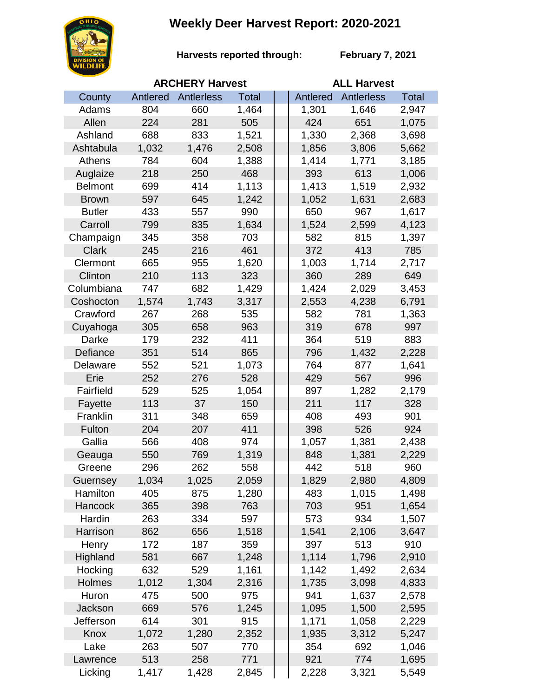## **Weekly Deer Harvest Report: 2020-2021**



**Harvests reported through:** 

**February 7, 2021**

|                | <b>ARCHERY Harvest</b> |            |              | <b>ALL Harvest</b> |                   |              |  |
|----------------|------------------------|------------|--------------|--------------------|-------------------|--------------|--|
| County         | Antlered               | Antlerless | <b>Total</b> | Antlered           | <b>Antlerless</b> | <b>Total</b> |  |
| Adams          | 804                    | 660        | 1,464        | 1,301              | 1,646             | 2,947        |  |
| Allen          | 224                    | 281        | 505          | 424                | 651               | 1,075        |  |
| Ashland        | 688                    | 833        | 1,521        | 1,330              | 2,368             | 3,698        |  |
| Ashtabula      | 1,032                  | 1,476      | 2,508        | 1,856              | 3,806             | 5,662        |  |
| Athens         | 784                    | 604        | 1,388        | 1,414              | 1,771             | 3,185        |  |
| Auglaize       | 218                    | 250        | 468          | 393                | 613               | 1,006        |  |
| <b>Belmont</b> | 699                    | 414        | 1,113        | 1,413              | 1,519             | 2,932        |  |
| <b>Brown</b>   | 597                    | 645        | 1,242        | 1,052              | 1,631             | 2,683        |  |
| <b>Butler</b>  | 433                    | 557        | 990          | 650                | 967               | 1,617        |  |
| Carroll        | 799                    | 835        | 1,634        | 1,524              | 2,599             | 4,123        |  |
| Champaign      | 345                    | 358        | 703          | 582                | 815               | 1,397        |  |
| <b>Clark</b>   | 245                    | 216        | 461          | 372                | 413               | 785          |  |
| Clermont       | 665                    | 955        | 1,620        | 1,003              | 1,714             | 2,717        |  |
| Clinton        | 210                    | 113        | 323          | 360                | 289               | 649          |  |
| Columbiana     | 747                    | 682        | 1,429        | 1,424              | 2,029             | 3,453        |  |
| Coshocton      | 1,574                  | 1,743      | 3,317        | 2,553              | 4,238             | 6,791        |  |
| Crawford       | 267                    | 268        | 535          | 582                | 781               | 1,363        |  |
| Cuyahoga       | 305                    | 658        | 963          | 319                | 678               | 997          |  |
| Darke          | 179                    | 232        | 411          | 364                | 519               | 883          |  |
| Defiance       | 351                    | 514        | 865          | 796                | 1,432             | 2,228        |  |
| Delaware       | 552                    | 521        | 1,073        | 764                | 877               | 1,641        |  |
| Erie           | 252                    | 276        | 528          | 429                | 567               | 996          |  |
| Fairfield      | 529                    | 525        | 1,054        | 897                | 1,282             | 2,179        |  |
| Fayette        | 113                    | 37         | 150          | 211                | 117               | 328          |  |
| Franklin       | 311                    | 348        | 659          | 408                | 493               | 901          |  |
| Fulton         | 204                    | 207        | 411          | 398                | 526               | 924          |  |
| Gallia         | 566                    | 408        | 974          | 1,057              | 1,381             | 2,438        |  |
| Geauga         | 550                    | 769        | 1,319        | 848                | 1,381             | 2,229        |  |
| Greene         | 296                    | 262        | 558          | 442                | 518               | 960          |  |
| Guernsey       | 1,034                  | 1,025      | 2,059        | 1,829              | 2,980             | 4,809        |  |
| Hamilton       | 405                    | 875        | 1,280        | 483                | 1,015             | 1,498        |  |
| Hancock        | 365                    | 398        | 763          | 703                | 951               | 1,654        |  |
| Hardin         | 263                    | 334        | 597          | 573                | 934               | 1,507        |  |
| Harrison       | 862                    | 656        | 1,518        | 1,541              | 2,106             | 3,647        |  |
| Henry          | 172                    | 187        | 359          | 397                | 513               | 910          |  |
| Highland       | 581                    | 667        | 1,248        | 1,114              | 1,796             | 2,910        |  |
| Hocking        | 632                    | 529        | 1,161        | 1,142              | 1,492             | 2,634        |  |
| Holmes         | 1,012                  | 1,304      | 2,316        | 1,735              | 3,098             | 4,833        |  |
| Huron          | 475                    | 500        | 975          | 941                | 1,637             | 2,578        |  |
| Jackson        | 669                    | 576        | 1,245        | 1,095              | 1,500             | 2,595        |  |
| Jefferson      | 614                    | 301        | 915          | 1,171              | 1,058             | 2,229        |  |
| Knox           | 1,072<br>263           | 1,280      | 2,352        | 1,935              | 3,312             | 5,247        |  |
| Lake           |                        | 507        | 770          | 354                | 692               | 1,046        |  |
| Lawrence       | 513                    | 258        | 771          | 921                | 774               | 1,695        |  |
| Licking        | 1,417                  | 1,428      | 2,845        | 2,228              | 3,321             | 5,549        |  |